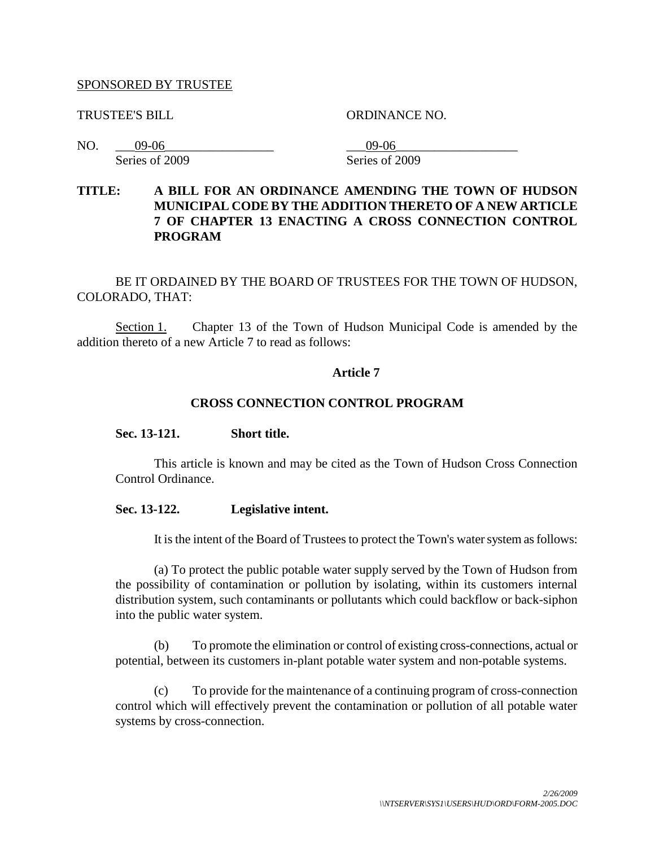#### SPONSORED BY TRUSTEE

TRUSTEE'S BILL ORDINANCE NO.

NO. \_\_\_09-06\_\_\_\_\_\_\_\_\_\_\_\_\_\_\_\_\_ \_\_\_09-06\_\_\_\_\_\_\_\_\_\_\_\_\_\_\_\_\_\_\_ Series of 2009 Series of 2009

## **TITLE: A BILL FOR AN ORDINANCE AMENDING THE TOWN OF HUDSON MUNICIPAL CODE BY THE ADDITION THERETO OF A NEW ARTICLE 7 OF CHAPTER 13 ENACTING A CROSS CONNECTION CONTROL PROGRAM**

BE IT ORDAINED BY THE BOARD OF TRUSTEES FOR THE TOWN OF HUDSON, COLORADO, THAT:

Section 1. Chapter 13 of the Town of Hudson Municipal Code is amended by the addition thereto of a new Article 7 to read as follows:

### **Article 7**

#### **CROSS CONNECTION CONTROL PROGRAM**

#### **Sec. 13-121. Short title.**

This article is known and may be cited as the Town of Hudson Cross Connection Control Ordinance.

#### **Sec. 13-122. Legislative intent.**

It is the intent of the Board of Trustees to protect the Town's water system as follows:

(a) To protect the public potable water supply served by the Town of Hudson from the possibility of contamination or pollution by isolating, within its customers internal distribution system, such contaminants or pollutants which could backflow or back-siphon into the public water system.

(b) To promote the elimination or control of existing cross-connections, actual or potential, between its customers in-plant potable water system and non-potable systems.

(c) To provide for the maintenance of a continuing program of cross-connection control which will effectively prevent the contamination or pollution of all potable water systems by cross-connection.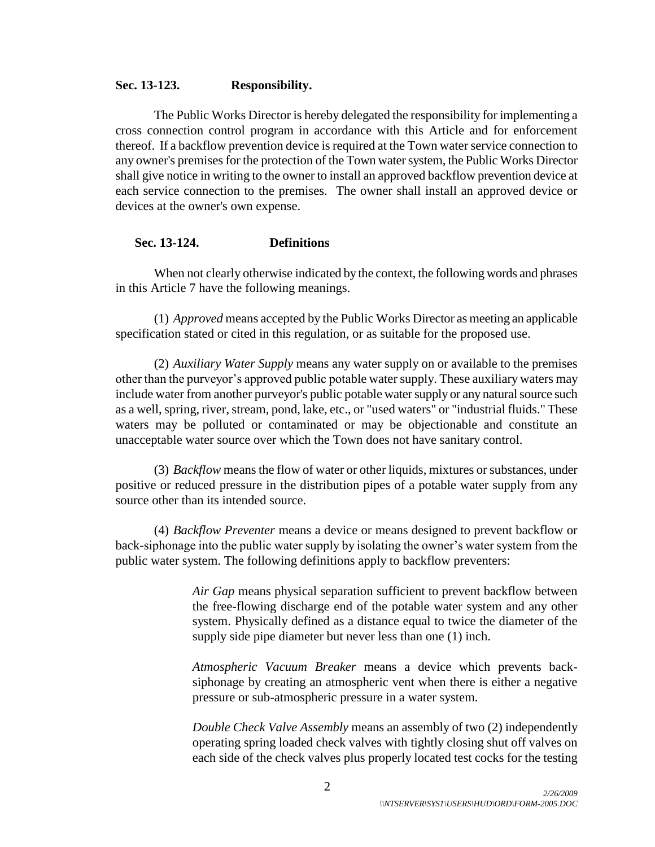#### **Sec. 13-123. Responsibility.**

The Public Works Director is hereby delegated the responsibility for implementing a cross connection control program in accordance with this Article and for enforcement thereof. If a backflow prevention device is required at the Town water service connection to any owner's premises for the protection of the Town water system, the Public Works Director shall give notice in writing to the owner to install an approved backflow prevention device at each service connection to the premises. The owner shall install an approved device or devices at the owner's own expense.

#### **Sec. 13-124. Definitions**

When not clearly otherwise indicated by the context, the following words and phrases in this Article 7 have the following meanings.

(1) *Approved* means accepted by the Public Works Director as meeting an applicable specification stated or cited in this regulation, or as suitable for the proposed use.

(2) *Auxiliary Water Supply* means any water supply on or available to the premises other than the purveyor's approved public potable water supply. These auxiliary waters may include water from another purveyor's public potable water supply or any natural source such as a well, spring, river, stream, pond, lake, etc., or "used waters" or "industrial fluids." These waters may be polluted or contaminated or may be objectionable and constitute an unacceptable water source over which the Town does not have sanitary control.

(3) *Backflow* means the flow of water or other liquids, mixtures or substances, under positive or reduced pressure in the distribution pipes of a potable water supply from any source other than its intended source.

(4) *Backflow Preventer* means a device or means designed to prevent backflow or back-siphonage into the public water supply by isolating the owner's water system from the public water system. The following definitions apply to backflow preventers:

> *Air Gap* means physical separation sufficient to prevent backflow between the free-flowing discharge end of the potable water system and any other system. Physically defined as a distance equal to twice the diameter of the supply side pipe diameter but never less than one (1) inch.

> *Atmospheric Vacuum Breaker* means a device which prevents backsiphonage by creating an atmospheric vent when there is either a negative pressure or sub-atmospheric pressure in a water system.

> *Double Check Valve Assembly* means an assembly of two (2) independently operating spring loaded check valves with tightly closing shut off valves on each side of the check valves plus properly located test cocks for the testing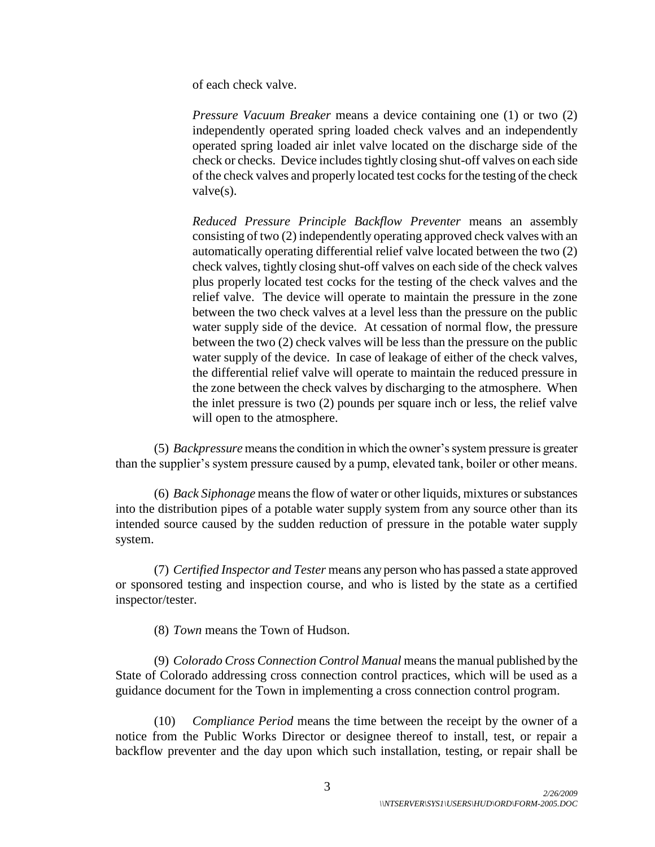of each check valve.

*Pressure Vacuum Breaker* means a device containing one (1) or two (2) independently operated spring loaded check valves and an independently operated spring loaded air inlet valve located on the discharge side of the check or checks. Device includes tightly closing shut-off valves on each side of the check valves and properly located test cocks for the testing of the check valve(s).

*Reduced Pressure Principle Backflow Preventer* means an assembly consisting of two (2) independently operating approved check valves with an automatically operating differential relief valve located between the two (2) check valves, tightly closing shut-off valves on each side of the check valves plus properly located test cocks for the testing of the check valves and the relief valve. The device will operate to maintain the pressure in the zone between the two check valves at a level less than the pressure on the public water supply side of the device. At cessation of normal flow, the pressure between the two (2) check valves will be less than the pressure on the public water supply of the device. In case of leakage of either of the check valves, the differential relief valve will operate to maintain the reduced pressure in the zone between the check valves by discharging to the atmosphere. When the inlet pressure is two (2) pounds per square inch or less, the relief valve will open to the atmosphere.

(5) *Backpressure* means the condition in which the owner's system pressure is greater than the supplier's system pressure caused by a pump, elevated tank, boiler or other means.

(6) *Back Siphonage* means the flow of water or other liquids, mixtures or substances into the distribution pipes of a potable water supply system from any source other than its intended source caused by the sudden reduction of pressure in the potable water supply system.

(7) *Certified Inspector and Tester* means any person who has passed a state approved or sponsored testing and inspection course, and who is listed by the state as a certified inspector/tester.

(8) *Town* means the Town of Hudson.

(9) *Colorado Cross Connection Control Manual* means the manual published by the State of Colorado addressing cross connection control practices, which will be used as a guidance document for the Town in implementing a cross connection control program.

(10) *Compliance Period* means the time between the receipt by the owner of a notice from the Public Works Director or designee thereof to install, test, or repair a backflow preventer and the day upon which such installation, testing, or repair shall be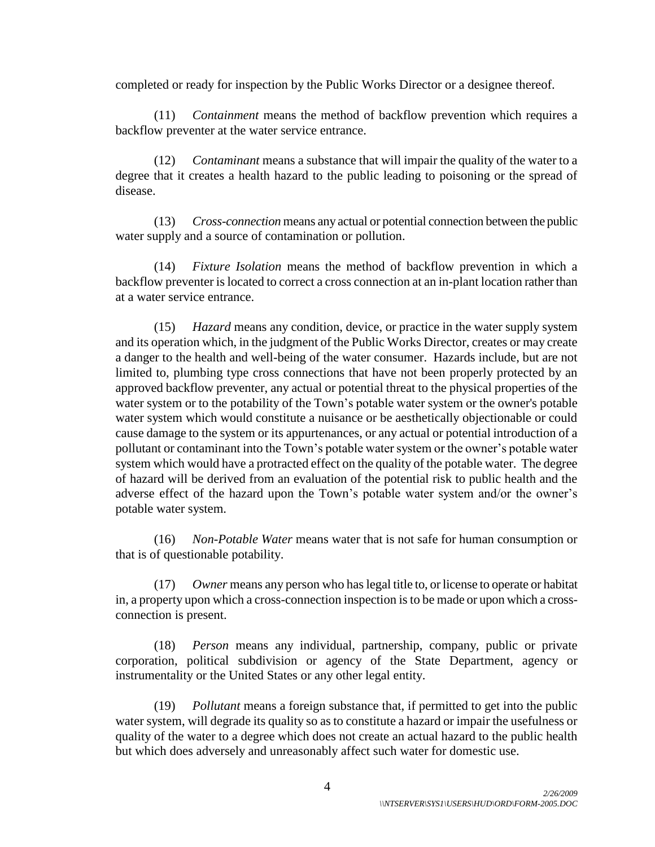completed or ready for inspection by the Public Works Director or a designee thereof.

(11) *Containment* means the method of backflow prevention which requires a backflow preventer at the water service entrance.

(12) *Contaminant* means a substance that will impair the quality of the water to a degree that it creates a health hazard to the public leading to poisoning or the spread of disease.

(13) *Cross-connection* means any actual or potential connection between the public water supply and a source of contamination or pollution.

(14) *Fixture Isolation* means the method of backflow prevention in which a backflow preventer is located to correct a cross connection at an in-plant location rather than at a water service entrance.

(15) *Hazard* means any condition, device, or practice in the water supply system and its operation which, in the judgment of the Public Works Director, creates or may create a danger to the health and well-being of the water consumer. Hazards include, but are not limited to, plumbing type cross connections that have not been properly protected by an approved backflow preventer, any actual or potential threat to the physical properties of the water system or to the potability of the Town's potable water system or the owner's potable water system which would constitute a nuisance or be aesthetically objectionable or could cause damage to the system or its appurtenances, or any actual or potential introduction of a pollutant or contaminant into the Town's potable water system or the owner's potable water system which would have a protracted effect on the quality of the potable water. The degree of hazard will be derived from an evaluation of the potential risk to public health and the adverse effect of the hazard upon the Town's potable water system and/or the owner's potable water system.

(16) *Non-Potable Water* means water that is not safe for human consumption or that is of questionable potability.

(17) *Owner* means any person who has legal title to, or license to operate or habitat in, a property upon which a cross-connection inspection is to be made or upon which a crossconnection is present.

(18) *Person* means any individual, partnership, company, public or private corporation, political subdivision or agency of the State Department, agency or instrumentality or the United States or any other legal entity.

(19) *Pollutant* means a foreign substance that, if permitted to get into the public water system, will degrade its quality so as to constitute a hazard or impair the usefulness or quality of the water to a degree which does not create an actual hazard to the public health but which does adversely and unreasonably affect such water for domestic use.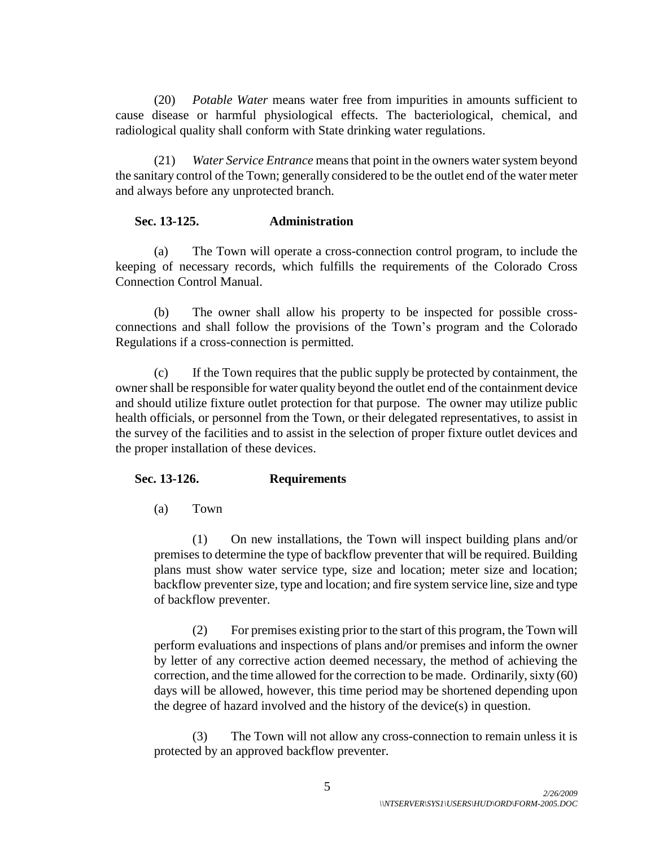(20) *Potable Water* means water free from impurities in amounts sufficient to cause disease or harmful physiological effects. The bacteriological, chemical, and radiological quality shall conform with State drinking water regulations.

(21) *Water Service Entrance* means that point in the owners water system beyond the sanitary control of the Town; generally considered to be the outlet end of the water meter and always before any unprotected branch.

### **Sec. 13-125. Administration**

(a) The Town will operate a cross-connection control program, to include the keeping of necessary records, which fulfills the requirements of the Colorado Cross Connection Control Manual.

(b) The owner shall allow his property to be inspected for possible crossconnections and shall follow the provisions of the Town's program and the Colorado Regulations if a cross-connection is permitted.

(c) If the Town requires that the public supply be protected by containment, the owner shall be responsible for water quality beyond the outlet end of the containment device and should utilize fixture outlet protection for that purpose. The owner may utilize public health officials, or personnel from the Town, or their delegated representatives, to assist in the survey of the facilities and to assist in the selection of proper fixture outlet devices and the proper installation of these devices.

## **Sec. 13-126. Requirements**

(a) Town

(1) On new installations, the Town will inspect building plans and/or premises to determine the type of backflow preventer that will be required. Building plans must show water service type, size and location; meter size and location; backflow preventer size, type and location; and fire system service line, size and type of backflow preventer.

(2) For premises existing prior to the start of this program, the Town will perform evaluations and inspections of plans and/or premises and inform the owner by letter of any corrective action deemed necessary, the method of achieving the correction, and the time allowed for the correction to be made. Ordinarily, sixty (60) days will be allowed, however, this time period may be shortened depending upon the degree of hazard involved and the history of the device(s) in question.

(3) The Town will not allow any cross-connection to remain unless it is protected by an approved backflow preventer.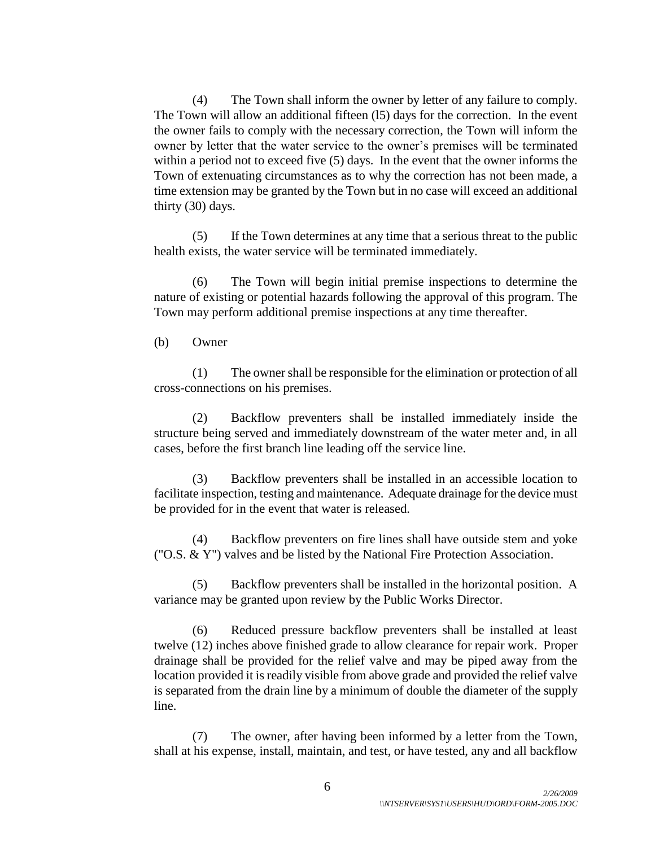(4) The Town shall inform the owner by letter of any failure to comply. The Town will allow an additional fifteen (l5) days for the correction. In the event the owner fails to comply with the necessary correction, the Town will inform the owner by letter that the water service to the owner's premises will be terminated within a period not to exceed five (5) days. In the event that the owner informs the Town of extenuating circumstances as to why the correction has not been made, a time extension may be granted by the Town but in no case will exceed an additional thirty (30) days.

(5) If the Town determines at any time that a serious threat to the public health exists, the water service will be terminated immediately.

(6) The Town will begin initial premise inspections to determine the nature of existing or potential hazards following the approval of this program. The Town may perform additional premise inspections at any time thereafter.

(b) Owner

(1) The owner shall be responsible for the elimination or protection of all cross-connections on his premises.

(2) Backflow preventers shall be installed immediately inside the structure being served and immediately downstream of the water meter and, in all cases, before the first branch line leading off the service line.

(3) Backflow preventers shall be installed in an accessible location to facilitate inspection, testing and maintenance. Adequate drainage for the device must be provided for in the event that water is released.

(4) Backflow preventers on fire lines shall have outside stem and yoke ("O.S. & Y") valves and be listed by the National Fire Protection Association.

(5) Backflow preventers shall be installed in the horizontal position. A variance may be granted upon review by the Public Works Director.

(6) Reduced pressure backflow preventers shall be installed at least twelve (12) inches above finished grade to allow clearance for repair work. Proper drainage shall be provided for the relief valve and may be piped away from the location provided it is readily visible from above grade and provided the relief valve is separated from the drain line by a minimum of double the diameter of the supply line.

(7) The owner, after having been informed by a letter from the Town, shall at his expense, install, maintain, and test, or have tested, any and all backflow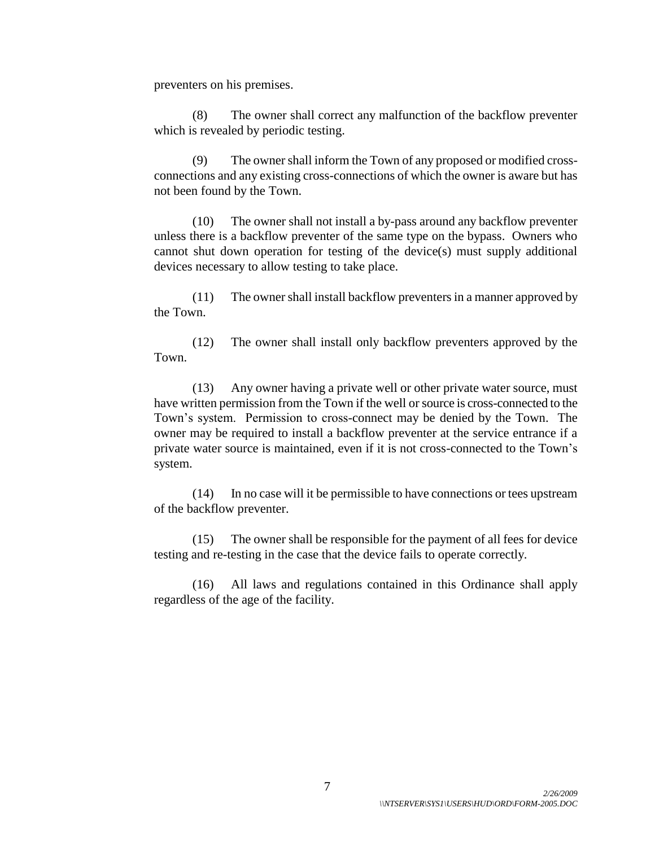preventers on his premises.

(8) The owner shall correct any malfunction of the backflow preventer which is revealed by periodic testing.

(9) The owner shall inform the Town of any proposed or modified crossconnections and any existing cross-connections of which the owner is aware but has not been found by the Town.

(10) The owner shall not install a by-pass around any backflow preventer unless there is a backflow preventer of the same type on the bypass. Owners who cannot shut down operation for testing of the device(s) must supply additional devices necessary to allow testing to take place.

(11) The owner shall install backflow preventers in a manner approved by the Town.

(12) The owner shall install only backflow preventers approved by the Town.

(13) Any owner having a private well or other private water source, must have written permission from the Town if the well or source is cross-connected to the Town's system. Permission to cross-connect may be denied by the Town. The owner may be required to install a backflow preventer at the service entrance if a private water source is maintained, even if it is not cross-connected to the Town's system.

(14) In no case will it be permissible to have connections or tees upstream of the backflow preventer.

(15) The owner shall be responsible for the payment of all fees for device testing and re-testing in the case that the device fails to operate correctly.

(16) All laws and regulations contained in this Ordinance shall apply regardless of the age of the facility.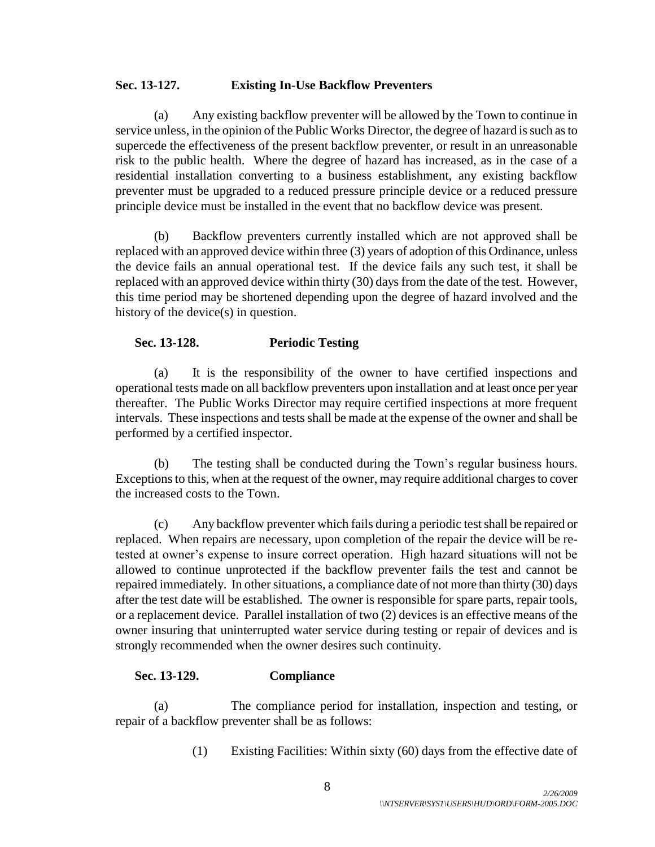## **Sec. 13-127. Existing In-Use Backflow Preventers**

(a) Any existing backflow preventer will be allowed by the Town to continue in service unless, in the opinion of the Public Works Director, the degree of hazard is such as to supercede the effectiveness of the present backflow preventer, or result in an unreasonable risk to the public health. Where the degree of hazard has increased, as in the case of a residential installation converting to a business establishment, any existing backflow preventer must be upgraded to a reduced pressure principle device or a reduced pressure principle device must be installed in the event that no backflow device was present.

(b) Backflow preventers currently installed which are not approved shall be replaced with an approved device within three (3) years of adoption of this Ordinance, unless the device fails an annual operational test. If the device fails any such test, it shall be replaced with an approved device within thirty (30) days from the date of the test. However, this time period may be shortened depending upon the degree of hazard involved and the history of the device(s) in question.

## **Sec. 13-128. Periodic Testing**

(a) It is the responsibility of the owner to have certified inspections and operational tests made on all backflow preventers upon installation and at least once per year thereafter. The Public Works Director may require certified inspections at more frequent intervals. These inspections and tests shall be made at the expense of the owner and shall be performed by a certified inspector.

(b) The testing shall be conducted during the Town's regular business hours. Exceptions to this, when at the request of the owner, may require additional charges to cover the increased costs to the Town.

(c) Any backflow preventer which fails during a periodic test shall be repaired or replaced. When repairs are necessary, upon completion of the repair the device will be retested at owner's expense to insure correct operation. High hazard situations will not be allowed to continue unprotected if the backflow preventer fails the test and cannot be repaired immediately. In other situations, a compliance date of not more than thirty (30) days after the test date will be established. The owner is responsible for spare parts, repair tools, or a replacement device. Parallel installation of two (2) devices is an effective means of the owner insuring that uninterrupted water service during testing or repair of devices and is strongly recommended when the owner desires such continuity.

## **Sec. 13-129. Compliance**

(a) The compliance period for installation, inspection and testing, or repair of a backflow preventer shall be as follows:

(1) Existing Facilities: Within sixty (60) days from the effective date of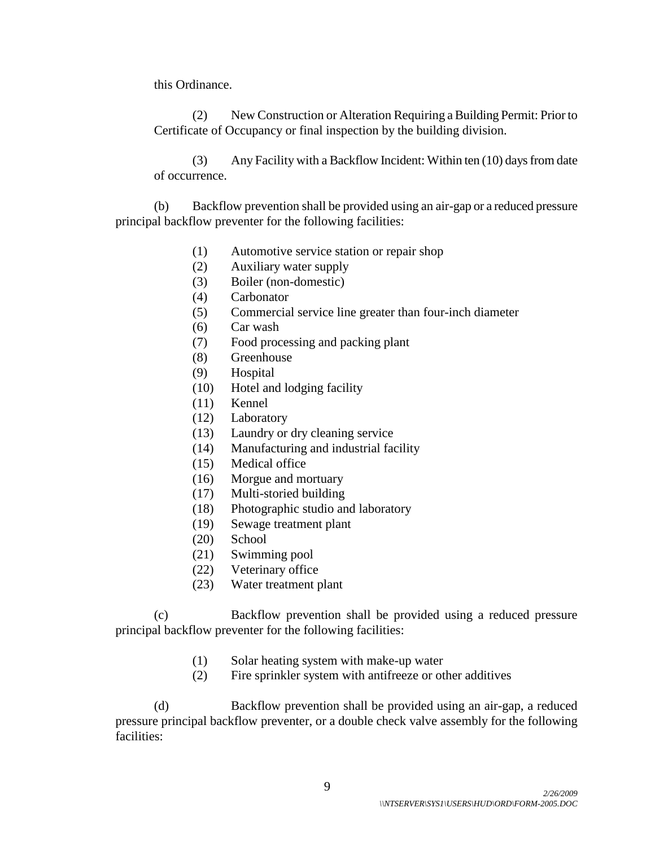this Ordinance.

(2) New Construction or Alteration Requiring a Building Permit: Prior to Certificate of Occupancy or final inspection by the building division.

(3) Any Facility with a Backflow Incident: Within ten (10) days from date of occurrence.

(b) Backflow prevention shall be provided using an air-gap or a reduced pressure principal backflow preventer for the following facilities:

- (1) Automotive service station or repair shop
- (2) Auxiliary water supply
- (3) Boiler (non-domestic)
- (4) Carbonator
- (5) Commercial service line greater than four-inch diameter
- (6) Car wash
- (7) Food processing and packing plant
- (8) Greenhouse
- (9) Hospital
- (10) Hotel and lodging facility
- (11) Kennel
- (12) Laboratory
- (13) Laundry or dry cleaning service
- (14) Manufacturing and industrial facility
- (15) Medical office
- (16) Morgue and mortuary
- (17) Multi-storied building
- (18) Photographic studio and laboratory
- (19) Sewage treatment plant
- (20) School
- (21) Swimming pool
- (22) Veterinary office
- (23) Water treatment plant

(c) Backflow prevention shall be provided using a reduced pressure principal backflow preventer for the following facilities:

- (1) Solar heating system with make-up water
- (2) Fire sprinkler system with antifreeze or other additives

(d) Backflow prevention shall be provided using an air-gap, a reduced pressure principal backflow preventer, or a double check valve assembly for the following facilities: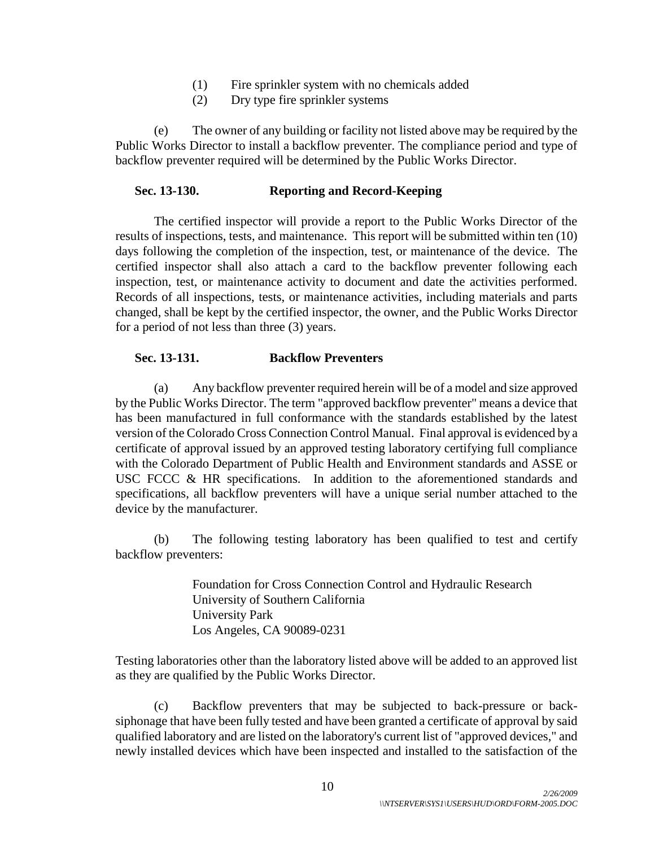- (1) Fire sprinkler system with no chemicals added
- (2) Dry type fire sprinkler systems

(e) The owner of any building or facility not listed above may be required by the Public Works Director to install a backflow preventer. The compliance period and type of backflow preventer required will be determined by the Public Works Director.

## **Sec. 13-130. Reporting and Record-Keeping**

The certified inspector will provide a report to the Public Works Director of the results of inspections, tests, and maintenance. This report will be submitted within ten (10) days following the completion of the inspection, test, or maintenance of the device. The certified inspector shall also attach a card to the backflow preventer following each inspection, test, or maintenance activity to document and date the activities performed. Records of all inspections, tests, or maintenance activities, including materials and parts changed, shall be kept by the certified inspector, the owner, and the Public Works Director for a period of not less than three (3) years.

### **Sec. 13-131. Backflow Preventers**

(a) Any backflow preventer required herein will be of a model and size approved by the Public Works Director. The term "approved backflow preventer" means a device that has been manufactured in full conformance with the standards established by the latest version of the Colorado Cross Connection Control Manual. Final approval is evidenced by a certificate of approval issued by an approved testing laboratory certifying full compliance with the Colorado Department of Public Health and Environment standards and ASSE or USC FCCC & HR specifications. In addition to the aforementioned standards and specifications, all backflow preventers will have a unique serial number attached to the device by the manufacturer.

(b) The following testing laboratory has been qualified to test and certify backflow preventers:

> Foundation for Cross Connection Control and Hydraulic Research University of Southern California University Park Los Angeles, CA 90089-0231

Testing laboratories other than the laboratory listed above will be added to an approved list as they are qualified by the Public Works Director.

(c) Backflow preventers that may be subjected to back-pressure or backsiphonage that have been fully tested and have been granted a certificate of approval by said qualified laboratory and are listed on the laboratory's current list of "approved devices," and newly installed devices which have been inspected and installed to the satisfaction of the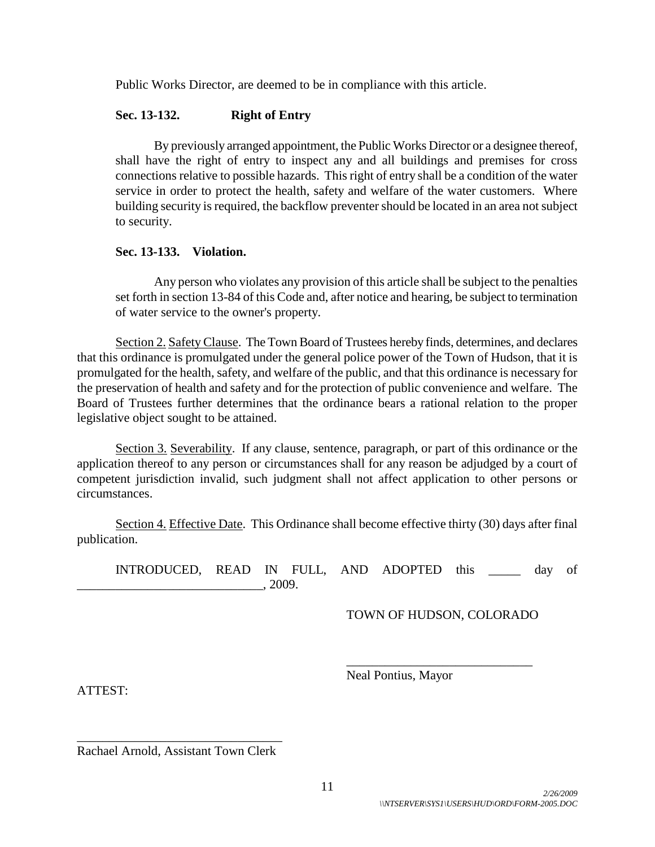Public Works Director, are deemed to be in compliance with this article.

## **Sec. 13-132. Right of Entry**

By previously arranged appointment, the Public Works Director or a designee thereof, shall have the right of entry to inspect any and all buildings and premises for cross connections relative to possible hazards. This right of entry shall be a condition of the water service in order to protect the health, safety and welfare of the water customers. Where building security is required, the backflow preventer should be located in an area not subject to security.

## **Sec. 13-133. Violation.**

Any person who violates any provision of this article shall be subject to the penalties set forth in section 13-84 of this Code and, after notice and hearing, be subject to termination of water service to the owner's property.

Section 2. Safety Clause. The Town Board of Trustees hereby finds, determines, and declares that this ordinance is promulgated under the general police power of the Town of Hudson, that it is promulgated for the health, safety, and welfare of the public, and that this ordinance is necessary for the preservation of health and safety and for the protection of public convenience and welfare. The Board of Trustees further determines that the ordinance bears a rational relation to the proper legislative object sought to be attained.

Section 3. Severability. If any clause, sentence, paragraph, or part of this ordinance or the application thereof to any person or circumstances shall for any reason be adjudged by a court of competent jurisdiction invalid, such judgment shall not affect application to other persons or circumstances.

Section 4. Effective Date. This Ordinance shall become effective thirty (30) days after final publication.

INTRODUCED, READ IN FULL, AND ADOPTED this and day of  $\frac{1}{2009}.$ 

TOWN OF HUDSON, COLORADO

\_\_\_\_\_\_\_\_\_\_\_\_\_\_\_\_\_\_\_\_\_\_\_\_\_\_\_\_\_

Neal Pontius, Mayor

ATTEST:

\_\_\_\_\_\_\_\_\_\_\_\_\_\_\_\_\_\_\_\_\_\_\_\_\_\_\_\_\_\_\_\_ Rachael Arnold, Assistant Town Clerk